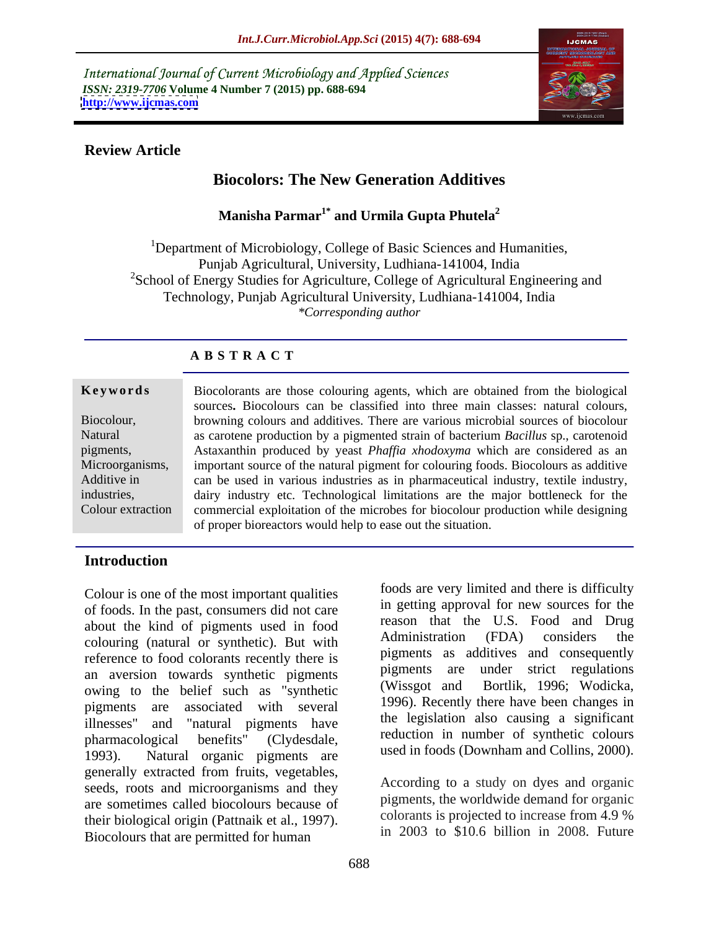International Journal of Current Microbiology and Applied Sciences *ISSN: 2319-7706* **Volume 4 Number 7 (2015) pp. 688-694 <http://www.ijcmas.com>**



#### **Review Article**

## **Biocolors: The New Generation Additives**

**Manisha Parmar1\* and Urmila Gupta Phutela2**

<sup>1</sup>Department of Microbiology, College of Basic Sciences and Humanities, Punjab Agricultural, University, Ludhiana-141004, India <sup>2</sup>School of Energy Studies for Agriculture, College of Agricultural Engineering and Technology, Punjab Agricultural University, Ludhiana-141004, India *\*Corresponding author*

#### **A B S T R A C T**

Colour extraction

**Keywords** Biocolorants are those colouring agents, which are obtained from the biological sources. Biocolours can be classified into three main classes: natural colours, browning colours and additives. There are various microbial sources of biocolour Biocolour, Natural as carotene production by a pigmented strain of bacterium *Bacillus* sp., carotenoid pigments, Astaxanthin produced by yeast *Phaffia xhodoxyma* which are considered as an Microorganisms, important source of the natural pigment for colouring foods. Biocolours as additive Additive in each be used in various industries as in pharmaceutical industry, textile industry, dairy industry etc. Technological limitations are the major bottleneck for the industries, commercial exploitation of the microbes for biocolour production while designing of proper bioreactors would help to ease out the situation.

#### **Introduction**

Colour is one of the most important qualities of foods. In the past, consumers did not care about the kind of pigments used in food<br>colouring (natural or synthetic). But with Administration (FDA) considers the colouring (natural or synthetic). But with reference to food colorants recently there is an aversion towards synthetic pigments pigments are under strict regulations<br>
curing to the bolief such as "synthetic (Wissgot and Bortlik, 1996; Wodicka, owing to the belief such as "synthetic pigments are associated with several illnesses" and "natural pigments have pharmacological benefits" (Clydesdale, reduction in number of synthetic colours 1993). Natural organic pigments are generally extracted from fruits, vegetables, seeds, roots and microorganisms and they are sometimes called biocolours because of their biological origin (Pattnaik et al., 1997). Biocolours that are permitted for human

foods are very limited and there is difficulty in getting approval for new sources for the reason that the U.S. Food and Drug Administration (FDA) considers the pigments as additives and consequently pigments are under strict regulations (Wissgot and Bortlik, 1996; Wodicka, 1996). Recently there have been changes in the legislation also causing a significant used in foods (Downham and Collins, 2000).

According to a study on dyes and organic pigments, the worldwide demand for organic colorants is projected to increase from 4.9 % in 2003 to \$10.6 billion in 2008. Future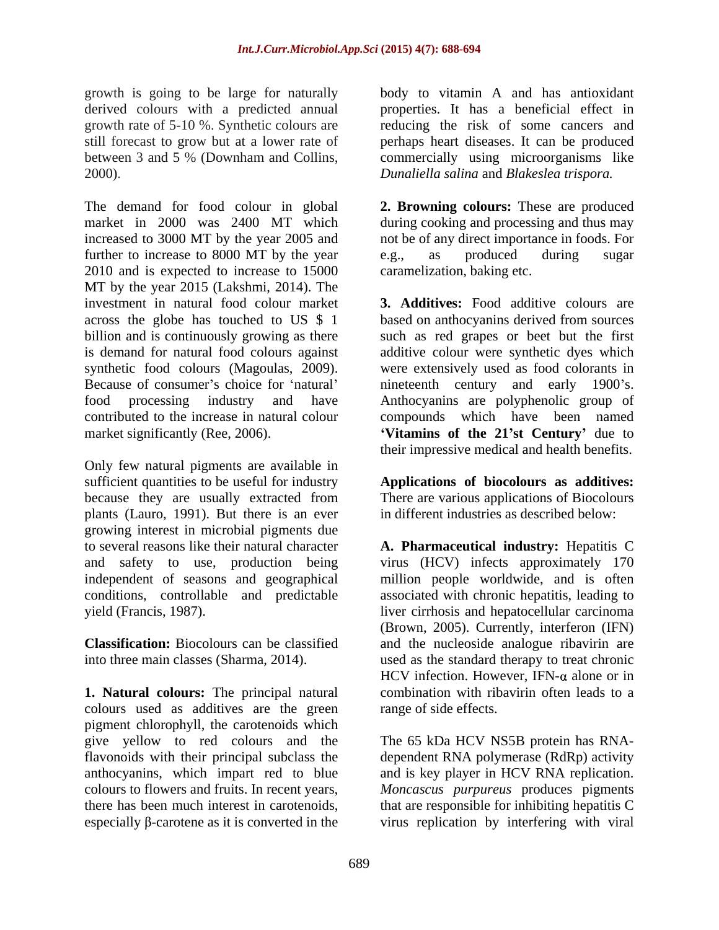growth is going to be large for naturally body to vitamin A and has antioxidant derived colours with a predicted annual

The demand for food colour in global **2. Browning colours:** These are produced market in 2000 was 2400 MT which during cooking and processing and thus may increased to 3000 MT by the year 2005 and not be of any direct importance in foods. For further to increase to 8000 MT by the year e.g., as produced during sugar 2010 and is expected to increase to 15000 MT by the year 2015 (Lakshmi, 2014). The Because of consumer's choice for 'natural' and century and early 1900's.

Only few natural pigments are available in sufficient quantities to be useful for industry **Applications of biocolours as additives:** because they are usually extracted from plants (Lauro, 1991). But there is an ever growing interest in microbial pigments due to several reasons like their natural character **A. Pharmaceutical industry:** Hepatitis C and safety to use, production being virus (HCV) infects approximately 170 independent of seasons and geographical million people worldwide, and is often conditions, controllable and predictable associated with chronic hepatitis, leading to

**1. Natural colours:** The principal natural colours used as additives are the green pigment chlorophyll, the carotenoids which give yellow to red colours and the The 65 kDa HCV NS5B protein has RNA flavonoids with their principal subclass the dependent RNA polymerase (RdRp) activity anthocyanins, which impart red to blue and is key player in HCV RNA replication. colours to flowers and fruits. In recent years, *Moncascus purpureus* produces pigments

growth rate of 5-10 %. Synthetic colours are reducing the risk of some cancers and still forecast to grow but at a lower rate of perhaps heart diseases. It can be produced between 3 and 5 % (Downham and Collins, commercially using microorganisms like 2000). *Dunaliella salina* and *Blakeslea trispora.* properties. It has a beneficial effect in

> e.g., as produced during sugar caramelization, baking etc.

investment in natural food colour market **3. Additives:** Food additive colours are across the globe has touched to US \$ 1 based on anthocyanins derived from sources billion and is continuously growing as there such as red grapes or beet but the first is demand for natural food colours against additive colour were synthetic dyes which synthetic food colours (Magoulas, 2009). were extensively used as food colorants in food processing industry and have Anthocyanins are polyphenolic group of contributed to the increase in natural colour compounds which have been named market significantly (Ree, 2006). **Vitamins of the 21 st Century** due to nineteenth century and early their impressive medical and health benefits.

> There are various applications of Biocolours in different industries as described below:

yield (Francis, 1987). liver cirrhosis and hepatocellular carcinoma **Classification:** Biocolours can be classified and the nucleoside analogue ribavirin are into three main classes (Sharma, 2014). used as the standard therapy to treat chronic (Brown, 2005). Currently, interferon (IFN) HCV infection. However, IFN- $\alpha$  alone or in combination with ribavirin often leads to a range of side effects.

there has been much interest in carotenoids, that are responsible for inhibiting hepatitis  $C$  especially  $\beta$ -carotene as it is converted in the virus replication by interfering with viral that are responsible for inhibiting hepatitis  $C$ virus replication by interfering with viral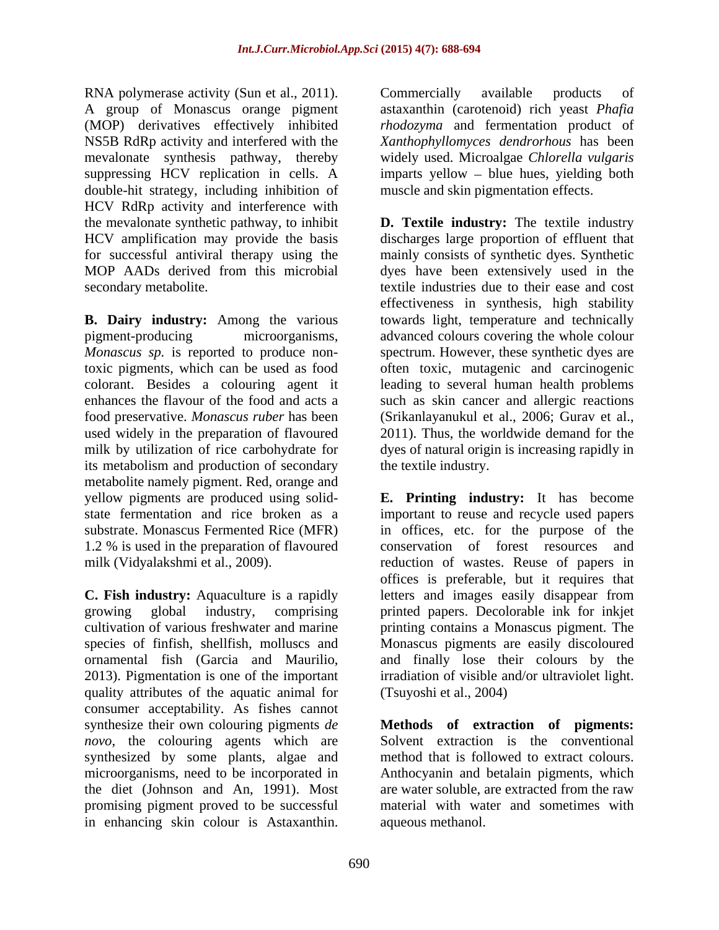RNA polymerase activity (Sun et al., 2011). Commercially available products of A group of Monascus orange pigment astaxanthin (carotenoid) rich yeast *Phafia* (MOP) derivatives effectively inhibited NS5B RdRp activity and interfered with the *Xanthophyllomyces dendrorhous* has been mevalonate synthesis pathway, thereby widely used. Microalgae *Chlorella vulgaris* suppressing HCV replication in cells. A imparts yellow – blue hues, yielding both double-hit strategy, including inhibition of HCV RdRp activity and interference with

**B. Dairy industry:** Among the various its metabolism and production of secondary metabolite namely pigment. Red, orange and 1.2 % is used in the preparation of flavoured ENA holymeters entiring (Sm et al., 2011). Commercially available products of the skin contents of the skin colour is a standard product of the skin contents of the skin colour is a standard product of the skin contents o

quality attributes of the aquatic animal for consumer acceptability. As fishes cannot synthesize their own colouring pigments de synthesize their own colouring pigments *de*  **Methods of extraction of pigments:** *novo*, the colouring agents which are synthesized by some plants, algae and microorganisms, need to be incorporated in the diet (Johnson and An, 1991). Most are water soluble, are extracted from the raw promising pigment proved to be successful material with water and sometimes with

*rhodozyma* and fermentation product of muscle and skin pigmentation effects.

the mevalonate synthetic pathway, to inhibit **D. Textile industry:** The textile industry HCV amplification may provide the basis discharges large proportion of effluent that for successful antiviral therapy using the mainly consists of synthetic dyes. Synthetic MOP AADs derived from this microbial dyes have been extensively used in the secondary metabolite. textile industries due to their ease and cost pigment-producing microorganisms, advanced colours covering the whole colour *Monascus sp.* is reported to produce non-spectrum. However, these synthetic dyes are toxic pigments, which can be used as food often toxic, mutagenic and carcinogenic colorant. Besides a colouring agent it leading to several human health problems enhances the flavour of the food and acts a such as skin cancer and allergic reactions food preservative. *Monascus ruber* has been (Srikanlayanukul et al., 2006; Gurav et al., used widely in the preparation of flavoured 2011). Thus, the worldwide demand for the milk by utilization of rice carbohydrate for dyes of natural origin is increasing rapidly in effectiveness in synthesis, high stability towards light, temperature and technically the textile industry.

yellow pigments are produced using solid- **E. Printing industry:** It has become state fermentation and rice broken as a important to reuse and recycle used papers substrate. Monascus Fermented Rice (MFR) in offices, etc. for the purpose of the milk (Vidyalakshmi et al., 2009). The reduction of wastes. Reuse of papers in **C. Fish industry:** Aquaculture is a rapidly letters and images easily disappear from growing global industry, comprising printed papers. Decolorable ink for inkjet cultivation of various freshwater and marine printing contains a Monascus pigment. The species of finfish, shellfish, molluscs and Monascus pigments are easily discoloured ornamental fish (Garcia and Maurilio, and finally lose their colours by the 2013). Pigmentation is one of the important irradiation of visible and/or ultraviolet light. conservation of forest resources and offices is preferable, but it requires that (Tsuyoshi et al., 2004)

> Solvent extraction is the conventional method that is followed to extract colours. Anthocyanin and betalain pigments, which aqueous methanol.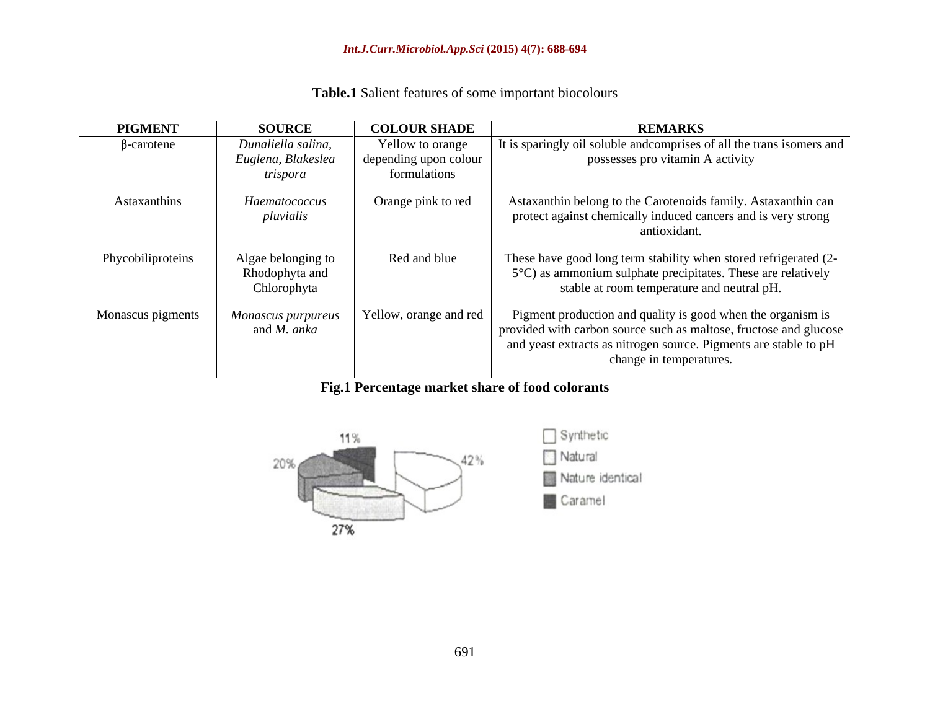| <b>PIGMENT</b>    | <b>SOURCE</b>                                        | <b>COLOUR SHADE</b>                                       | <b>REMARKS</b>                                                                                                                                                                                                                    |
|-------------------|------------------------------------------------------|-----------------------------------------------------------|-----------------------------------------------------------------------------------------------------------------------------------------------------------------------------------------------------------------------------------|
| $\beta$ -carotene | Dunaliella salina,<br>Euglena, Blakeslea<br>trispora | Yellow to orange<br>depending upon colour<br>formulations | It is sparingly oil soluble and comprises of all the trans isomers and  <br>possesses pro vitamin A activity                                                                                                                      |
| Astaxanthins      | Haematococcus<br>pluvialis                           | Orange pink to red                                        | Astaxanthin belong to the Carotenoids family. Astaxanthin can<br>protect against chemically induced cancers and is very strong<br>antioxidant.                                                                                    |
| Phycobiliproteins | Algae belonging to<br>Rhodophyta and<br>Chlorophyta  | Red and blue                                              | These have good long term stability when stored refrigerated (2-<br>$5^{\circ}$ C) as ammonium sulphate precipitates. These are relatively<br>stable at room temperature and neutral pH.                                          |
| Monascus pigments | Monascus purpureus<br>and <i>M. anka</i>             | Yellow, orange and red                                    | Pigment production and quality is good when the organism is<br>provided with carbon source such as maltose, fructose and glucose  <br>and yeast extracts as nitrogen source. Pigments are stable to pH<br>change in temperatures. |

# **Fig.1 Percentage market share of food colorants**

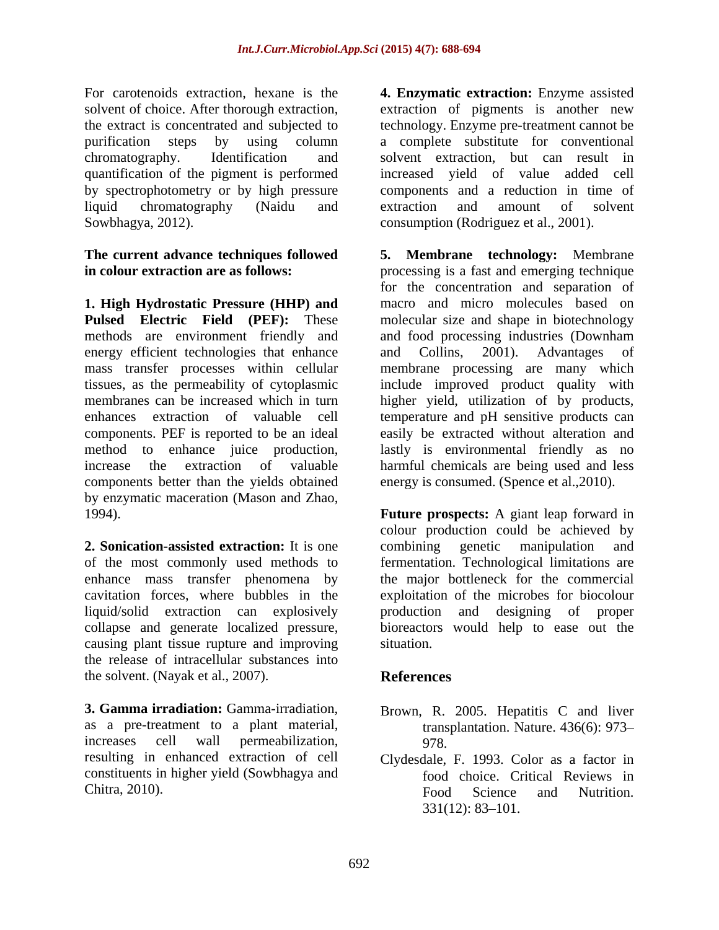For carotenoids extraction, hexane is the **4. Enzymatic extraction:** Enzyme assisted solvent of choice. After thorough extraction, extraction of pigments is another new the extract is concentrated and subjected to technology. Enzyme pre-treatment cannot be purification steps by using column a complete substitute for conventional chromatography. Identification and solvent extraction, but can result in quantification of the pigment is performed increased yield of value added cell by spectrophotometry or by high pressure liquid chromatography (Naidu and Sowbhagya, 2012). consumption (Rodriguez et al., 2001).

# **The current advance techniques followed**

**1. High Hydrostatic Pressure (HHP) and** energy efficient technologies that enhance and Collins, 2001). Advantages of components better than the yields obtained by enzymatic maceration (Mason and Zhao,

**2. Sonication-assisted extraction:** It is one causing plant tissue rupture and improving the release of intracellular substances into the solvent. (Nayak et al., 2007).

**3. Gamma irradiation:** Gamma-irradiation, Brown, R. 2005. Hepatitis C and liver as a pre-treatment to a plant material, resulting in enhanced extraction of cell Clydesdale, F. 1993. Color as a factor in constituents in higher yield (Sowbhagya and

components and a reduction in time of extraction and amount of solvent

**in colour extraction are as follows:** processing is a fast and emerging technique **Pulsed Electric Field (PEF):** These molecular size and shape in biotechnology methods are environment friendly and and food processing industries (Downham mass transfer processes within cellular membrane processing are many which tissues, as the permeability of cytoplasmic include improved product quality with membranes can be increased which in turn higher yield, utilization of by products, enhances extraction of valuable cell temperature and pH sensitive products can components. PEF is reported to be an ideal easily be extracted without alteration and method to enhance juice production, lastly is environmental friendly as no increase the extraction of valuable harmful chemicals are being used and less **5. Membrane technology:** Membrane for the concentration and separation of macro and micro molecules based on and Collins, 2001). Advantages of energy is consumed. (Spence et al.,2010).

1994). **Future prospects:** A giant leap forward in of the most commonly used methods to fermentation. Technological limitations are enhance mass transfer phenomena by the major bottleneck for the commercial cavitation forces, where bubbles in the exploitation of the microbes for biocolour liquid/solid extraction can explosively production and designing of proper collapse and generate localized pressure, bioreactors would help to ease out the colour production could be achieved by combining genetic manipulation and situation.

### **References**

- increases cell wall permeabilization, transplantation. Nature. 436(6): 973 978.
- Chitra, 2010). food choice. Critical Reviews in Food Science and Nutrition.  $331(12): 83 - 101.$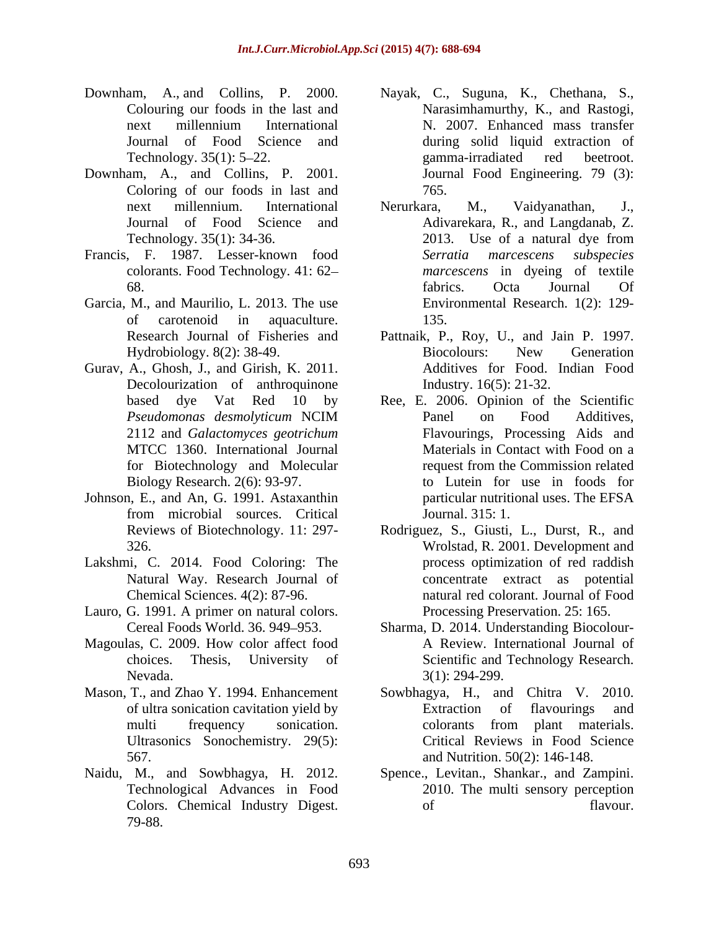- Downham, A., and Collins, P. 2000. Nayak, C., Suguna, K., Chethana, S.,
- Downham, A., and Collins, P. 2001. Coloring of our foods in last and  $765$ .
- colorants. Food Technology. 41: 62
- Garcia, M., and Maurilio, L. 2013. The use
- Gurav, A., Ghosh, J., and Girish, K. 2011. Decolourization of anthroquinone
- Johnson, E., and An, G. 1991. Astaxanthin
- Lakshmi, C. 2014. Food Coloring: The Natural Way. Research Journal of
- Lauro, G. 1991. A primer on natural colors.
- Magoulas, C. 2009. How color affect food Nevada. 3(1): 294-299.
- Ultrasonics Sonochemistry. 29(5):
- Naidu, M., and Sowbhagya, H. 2012. Colors. Chemical Industry Digest. of flavour.<br>79-88. Separately 19-88.
- Colouring our foods in the last and Narasimhamurthy, K., and Rastogi, next millennium International N. 2007. Enhanced mass transfer Journal of Food Science and during solid liquid extraction of Technology. 35(1): 5–22. Some and a samma-irradiated red betroot. N. 2007. Enhanced mass transfer gamma-irradiated red beetroot. Journal Food Engineering. 79 (3): 765.
- next millennium. International Journal of Food Science and Adivarekara, R., and Langdanab, Z. Technology. 35(1): 34-36. 2013. Use of a natural dye from Francis, F. 1987. Lesser-known food 68. Command Contact Contact Services Contact Contact Contact Contact Contact Contact Contact Contact Contact Contact Contact Contact Contact Contact Contact Contact Contact Contact Contact Contact Contact Contact Contact C of carotenoid in aquaculture. Nerurkara, M., Vaidyanathan, J., 2013. Use of a natural dye from *Serratia marcescens subspecies marcescens* in dyeing of textile fabrics. Octa Journal Of Environmental Research. 1(2): 129- 135.
	- Research Journal of Fisheries and Pattnaik, P., Roy, U., and Jain P. 1997. Hydrobiology. 8(2): 38-49. Biocolours: New Generation Biocolours: New Generation Additives for Food. Indian Food Industry. 16(5): 21-32.
	- based dye Vat Red 10 by Ree, E. 2006. Opinion of the Scientific *Pseudomonas desmolyticum* NCIM 2112 and *Galactomyces geotrichum* MTCC 1360. International Journal Materials in Contact with Food on a for Biotechnology and Molecular Biology Research. 2(6): 93-97. to Lutein for use in foods for from microbial sources. Critical Panel on Food Additives, Flavourings, Processing Aids and Materials in Contact with Food on a request from the Commission related particular nutritional uses. The EFSA Journal. 315: 1.
	- Reviews of Biotechnology. 11: 297-<br>Rodriguez, S., Giusti, L., Durst, R., and 326. Wrolstad, R. 2001. Development and Chemical Sciences. 4(2): 87-96. natural red colorant. Journal of Food process optimization of red raddish concentrate extract as potential Processing Preservation. 25: 165.
	- Cereal Foods World. 36. 949–953. Sharma, D. 2014. Understanding Biocolourchoices. Thesis, University of Scientific and Technology Research. A Review. International Journal of 3(1): 294-299.
- Mason, T., and Zhao Y. 1994. Enhancement Sowbhagya, H., and Chitra V. 2010. of ultra sonication cavitation yield by multi frequency sonication. Colorants from plant materials. 567. and Nutrition. 50(2): 146-148. Extraction of flavourings and colorants from plant materials. Critical Reviews in Food Science
	- Technological Advances in Food 2010. The multi sensory perception Spence., Levitan., Shankar., and Zampini. of flavour.